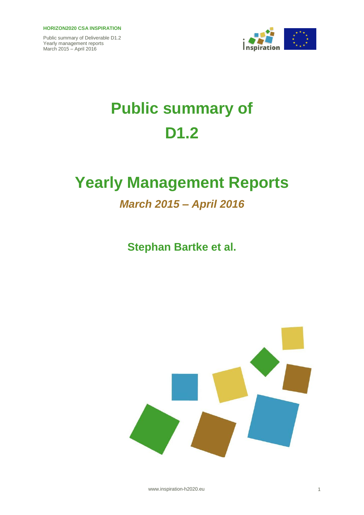

# **Public summary of D1.2**

## **Yearly Management Reports**

## *March 2015 – April 2016*

**Stephan Bartke et al.**



www.inspiration-h2020.eu 1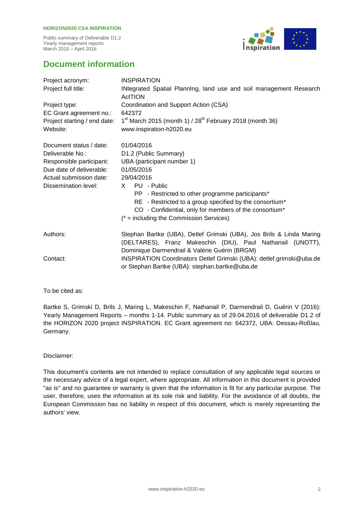#### **HORIZON2020 CSA INSPIRATION**

Public summary of Deliverable D1.2 Yearly management reports March 2015 – April 2016



### **Document information**

| Project acronym:             | <b>INSPIRATION</b>                                                                                                                                                      |
|------------------------------|-------------------------------------------------------------------------------------------------------------------------------------------------------------------------|
| Project full title:          | INtegrated Spatial PlannIng, land use and soil management Research<br><b>ActTION</b>                                                                                    |
| Project type:                | Coordination and Support Action (CSA)                                                                                                                                   |
| EC Grant agreement no.:      | 642372                                                                                                                                                                  |
| Project starting / end date: | $1st$ March 2015 (month 1) / 28 <sup>th</sup> February 2018 (month 36)                                                                                                  |
| Website:                     | www.inspiration-h2020.eu                                                                                                                                                |
| Document status / date:      | 01/04/2016                                                                                                                                                              |
| Deliverable No.:             | D1.2 (Public Summary)                                                                                                                                                   |
| Responsible participant:     | UBA (participant number 1)                                                                                                                                              |
| Due date of deliverable:     | 01/05/2016                                                                                                                                                              |
| Actual submission date:      | 29/04/2016                                                                                                                                                              |
| Dissemination level:         | X PU - Public                                                                                                                                                           |
|                              | PP - Restricted to other programme participants*                                                                                                                        |
|                              | RE - Restricted to a group specified by the consortium*                                                                                                                 |
|                              | CO - Confidential, only for members of the consortium*                                                                                                                  |
|                              | $(* = including the Commission Services)$                                                                                                                               |
| Authors:                     | Stephan Bartke (UBA), Detlef Grimski (UBA), Jos Brils & Linda Maring<br>(DELTARES), Franz Makeschin (DIU), Paul Nathanail (UNOTT),                                      |
| Contact:                     | Dominique Darmendrail & Valérie Guérin (BRGM)<br>INSPIRATION Coordinators Detlef Grimski (UBA): detlef.grimski@uba.de<br>or Stephan Bartke (UBA): stephan.bartke@uba.de |

#### To be cited as:

Bartke S, Grimski D, Brils J, Maring L, Makeschin F, Nathanail P, Darmendrail D, Guérin V (2016): Yearly Management Reports – months 1-14. Public summary as of 29.04.2016 of deliverable D1.2 of the HORIZON 2020 project INSPIRATION. EC Grant agreement no: 642372, UBA: Dessau-Roßlau, Germany.

#### Disclaimer:

This document's contents are not intended to replace consultation of any applicable legal sources or the necessary advice of a legal expert, where appropriate. All information in this document is provided "as is" and no guarantee or warranty is given that the information is fit for any particular purpose. The user, therefore, uses the information at its sole risk and liability. For the avoidance of all doubts, the European Commission has no liability in respect of this document, which is merely representing the authors' view.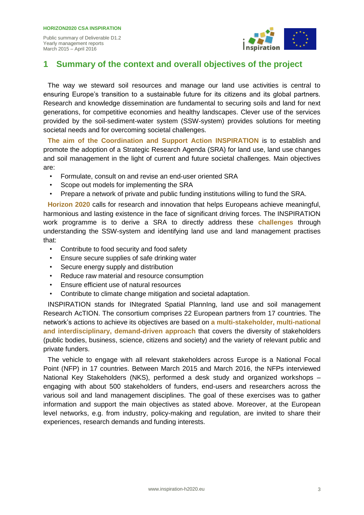

### **1 Summary of the context and overall objectives of the project**

The way we steward soil resources and manage our land use activities is central to ensuring Europe's transition to a sustainable future for its citizens and its global partners. Research and knowledge dissemination are fundamental to securing soils and land for next generations, for competitive economies and healthy landscapes. Clever use of the services provided by the soil-sediment-water system (SSW-system) provides solutions for meeting societal needs and for overcoming societal challenges.

**The aim of the Coordination and Support Action INSPIRATION** is to establish and promote the adoption of a Strategic Research Agenda (SRA) for land use, land use changes and soil management in the light of current and future societal challenges. Main objectives are:

- Formulate, consult on and revise an end-user oriented SRA
- Scope out models for implementing the SRA
- Prepare a network of private and public funding institutions willing to fund the SRA.

**Horizon 2020** calls for research and innovation that helps Europeans achieve meaningful, harmonious and lasting existence in the face of significant driving forces. The INSPIRATION work programme is to derive a SRA to directly address these **challenges** through understanding the SSW-system and identifying land use and land management practises that:

- Contribute to food security and food safety
- Ensure secure supplies of safe drinking water
- Secure energy supply and distribution
- Reduce raw material and resource consumption
- Ensure efficient use of natural resources
- Contribute to climate change mitigation and societal adaptation.

INSPIRATION stands for INtegrated Spatial PlannIng, land use and soil management Research AcTION. The consortium comprises 22 European partners from 17 countries. The network's actions to achieve its objectives are based on **a multi-stakeholder, multi-national and interdisciplinary, demand-driven approach** that covers the diversity of stakeholders (public bodies, business, science, citizens and society) and the variety of relevant public and private funders.

The vehicle to engage with all relevant stakeholders across Europe is a National Focal Point (NFP) in 17 countries. Between March 2015 and March 2016, the NFPs interviewed National Key Stakeholders (NKS), performed a desk study and organized workshops – engaging with about 500 stakeholders of funders, end-users and researchers across the various soil and land management disciplines. The goal of these exercises was to gather information and support the main objectives as stated above. Moreover, at the European level networks, e.g. from industry, policy-making and regulation, are invited to share their experiences, research demands and funding interests.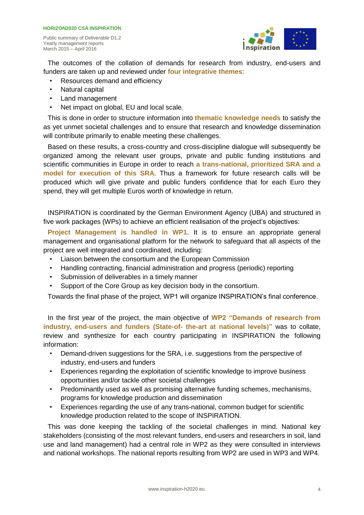

The outcomes of the collation of demands for research from industry, end-users and funders are taken up and reviewed under **four integrative themes**:

- Resources demand and efficiency
- Natural capital

March 2015 – April 2016

- Land management
- Net impact on global, EU and local scale.

This is done in order to structure information into **thematic knowledge needs** to satisfy the as yet unmet societal challenges and to ensure that research and knowledge dissemination will contribute primarily to enable meeting these challenges.

Based on these results, a cross-country and cross-discipline dialogue will subsequently be organized among the relevant user groups, private and public funding institutions and scientific communities in Europe in order to reach **a trans-national, prioritized SRA and a model for execution of this SRA**. Thus a framework for future research calls will be produced which will give private and public funders confidence that for each Euro they spend, they will get multiple Euros worth of knowledge in return.

INSPIRATION is coordinated by the German Environment Agency (UBA) and structured in five work packages (WPs) to achieve an efficient realisation of the project's objectives:

**Project Management is handled in WP1**. It is to ensure an appropriate general management and organisational platform for the network to safeguard that all aspects of the project are well integrated and coordinated, including:

- Liaison between the consortium and the European Commission
- Handling contracting, financial administration and progress (periodic) reporting
- Submission of deliverables in a timely manner
- Support of the Core Group as key decision body in the consortium.

Towards the final phase of the project, WP1 will organize INSPIRATION's final conference.

In the first year of the project, the main objective of **WP2 "Demands of research from industry, end-users and funders (State-of- the-art at national levels)"** was to collate, review and synthesize for each country participating in INSPIRATION the following information:

- Demand-driven suggestions for the SRA, i.e. suggestions from the perspective of industry, end-users and funders
- Experiences regarding the exploitation of scientific knowledge to improve business opportunities and/or tackle other societal challenges
- Predominantly used as well as promising alternative funding schemes, mechanisms, programs for knowledge production and dissemination
- Experiences regarding the use of any trans-national, common budget for scientific knowledge production related to the scope of INSPIRATION.

This was done keeping the tackling of the societal challenges in mind. National key stakeholders (consisting of the most relevant funders, end-users and researchers in soil, land use and land management) had a central role in WP2 as they were consulted in interviews and national workshops. The national reports resulting from WP2 are used in WP3 and WP4.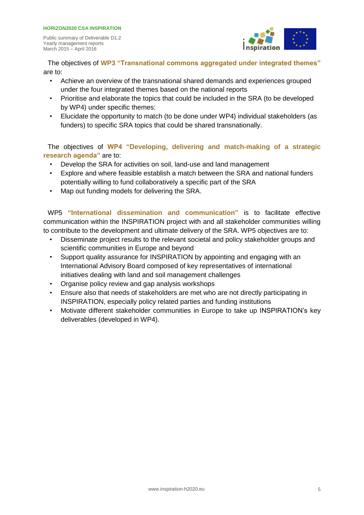#### **HORIZON2020 CSA INSPIRATION**

Public summary of Deliverable D1.2 Yearly management reports March 2015 – April 2016



The objectives of **WP3 "Transnational commons aggregated under integrated themes"**  are to:

- Achieve an overview of the transnational shared demands and experiences grouped under the four integrated themes based on the national reports
- Prioritise and elaborate the topics that could be included in the SRA (to be developed by WP4) under specific themes:
- Elucidate the opportunity to match (to be done under WP4) individual stakeholders (as funders) to specific SRA topics that could be shared transnationally.

The objectives of **WP4 "Developing, delivering and match-making of a strategic research agenda"** are to:

- Develop the SRA for activities on soil, land-use and land management
- Explore and where feasible establish a match between the SRA and national funders potentially willing to fund collaboratively a specific part of the SRA
- Map out funding models for delivering the SRA.

WP5 **"International dissemination and communication"** is to facilitate effective communication within the INSPIRATION project with and all stakeholder communities willing to contribute to the development and ultimate delivery of the SRA. WP5 objectives are to:

- Disseminate project results to the relevant societal and policy stakeholder groups and scientific communities in Europe and beyond
- Support quality assurance for INSPIRATION by appointing and engaging with an International Advisory Board composed of key representatives of international initiatives dealing with land and soil management challenges
- Organise policy review and gap analysis workshops
- Ensure also that needs of stakeholders are met who are not directly participating in INSPIRATION, especially policy related parties and funding institutions
- Motivate different stakeholder communities in Europe to take up INSPIRATION's key deliverables (developed in WP4).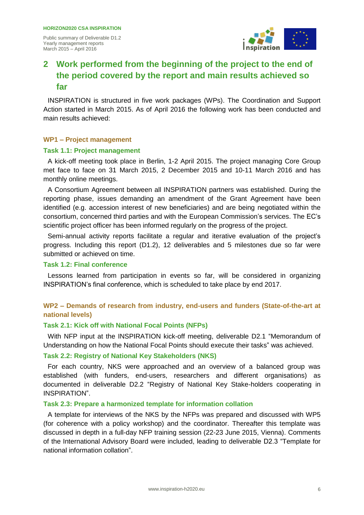

## **2 Work performed from the beginning of the project to the end of the period covered by the report and main results achieved so far**

INSPIRATION is structured in five work packages (WPs). The Coordination and Support Action started in March 2015. As of April 2016 the following work has been conducted and main results achieved:

#### **WP1 – Project management**

#### **Task 1.1: Project management**

A kick-off meeting took place in Berlin, 1-2 April 2015. The project managing Core Group met face to face on 31 March 2015, 2 December 2015 and 10-11 March 2016 and has monthly online meetings.

A Consortium Agreement between all INSPIRATION partners was established. During the reporting phase, issues demanding an amendment of the Grant Agreement have been identified (e.g. accession interest of new beneficiaries) and are being negotiated within the consortium, concerned third parties and with the European Commission's services. The EC's scientific project officer has been informed regularly on the progress of the project.

Semi-annual activity reports facilitate a regular and iterative evaluation of the project's progress. Including this report (D1.2), 12 deliverables and 5 milestones due so far were submitted or achieved on time.

#### **Task 1.2: Final conference**

Lessons learned from participation in events so far, will be considered in organizing INSPIRATION's final conference, which is scheduled to take place by end 2017.

#### **WP2 – Demands of research from industry, end-users and funders (State-of-the-art at national levels)**

#### **Task 2.1: Kick off with National Focal Points (NFPs)**

With NFP input at the INSPIRATION kick-off meeting, deliverable D2.1 "Memorandum of Understanding on how the National Focal Points should execute their tasks" was achieved.

#### **Task 2.2: Registry of National Key Stakeholders (NKS)**

For each country, NKS were approached and an overview of a balanced group was established (with funders, end-users, researchers and different organisations) as documented in deliverable D2.2 "Registry of National Key Stake-holders cooperating in INSPIRATION".

#### **Task 2.3: Prepare a harmonized template for information collation**

A template for interviews of the NKS by the NFPs was prepared and discussed with WP5 (for coherence with a policy workshop) and the coordinator. Thereafter this template was discussed in depth in a full-day NFP training session (22-23 June 2015, Vienna). Comments of the International Advisory Board were included, leading to deliverable D2.3 "Template for national information collation".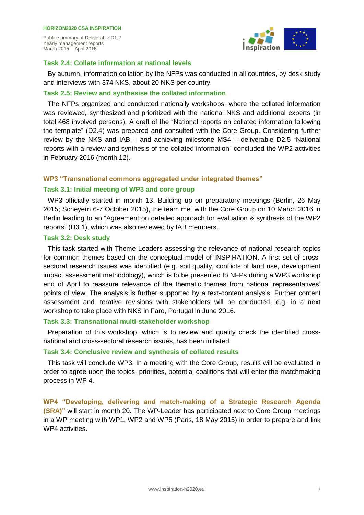

#### **Task 2.4: Collate information at national levels**

By autumn, information collation by the NFPs was conducted in all countries, by desk study and interviews with 374 NKS, about 20 NKS per country.

#### **Task 2.5: Review and synthesise the collated information**

The NFPs organized and conducted nationally workshops, where the collated information was reviewed, synthesized and prioritized with the national NKS and additional experts (in total 468 involved persons). A draft of the "National reports on collated information following the template" (D2.4) was prepared and consulted with the Core Group. Considering further review by the NKS and IAB – and achieving milestone MS4 – deliverable D2.5 "National reports with a review and synthesis of the collated information" concluded the WP2 activities in February 2016 (month 12).

#### **WP3 "Transnational commons aggregated under integrated themes"**

#### **Task 3.1: Initial meeting of WP3 and core group**

WP3 officially started in month 13. Building up on preparatory meetings (Berlin, 26 May 2015; Scheyern 6-7 October 2015), the team met with the Core Group on 10 March 2016 in Berlin leading to an "Agreement on detailed approach for evaluation & synthesis of the WP2 reports" (D3.1), which was also reviewed by IAB members.

#### **Task 3.2: Desk study**

This task started with Theme Leaders assessing the relevance of national research topics for common themes based on the conceptual model of INSPIRATION. A first set of crosssectoral research issues was identified (e.g. soil quality, conflicts of land use, development impact assessment methodology), which is to be presented to NFPs during a WP3 workshop end of April to reassure relevance of the thematic themes from national representatives' points of view. The analysis is further supported by a text-content analysis. Further content assessment and iterative revisions with stakeholders will be conducted, e.g. in a next workshop to take place with NKS in Faro, Portugal in June 2016.

#### **Task 3.3: Transnational multi-stakeholder workshop**

Preparation of this workshop, which is to review and quality check the identified crossnational and cross-sectoral research issues, has been initiated.

#### **Task 3.4: Conclusive review and synthesis of collated results**

This task will conclude WP3. In a meeting with the Core Group, results will be evaluated in order to agree upon the topics, priorities, potential coalitions that will enter the matchmaking process in WP 4.

**WP4 "Developing, delivering and match-making of a Strategic Research Agenda (SRA)"** will start in month 20. The WP-Leader has participated next to Core Group meetings in a WP meeting with WP1, WP2 and WP5 (Paris, 18 May 2015) in order to prepare and link WP4 activities.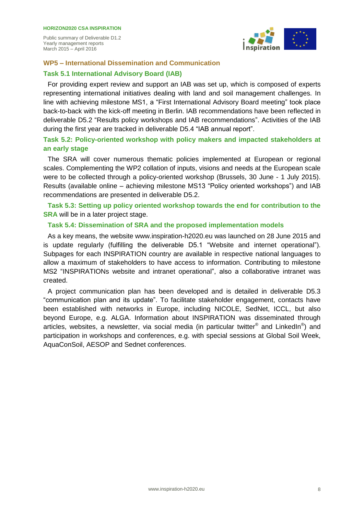

#### **WP5 – International Dissemination and Communication**

#### **Task 5.1 International Advisory Board (IAB)**

For providing expert review and support an IAB was set up, which is composed of experts representing international initiatives dealing with land and soil management challenges. In line with achieving milestone MS1, a "First International Advisory Board meeting" took place back-to-back with the kick-off meeting in Berlin. IAB recommendations have been reflected in deliverable D5.2 "Results policy workshops and IAB recommendations". Activities of the IAB during the first year are tracked in deliverable D5.4 "IAB annual report".

#### **Task 5.2: Policy-oriented workshop with policy makers and impacted stakeholders at an early stage**

The SRA will cover numerous thematic policies implemented at European or regional scales. Complementing the WP2 collation of inputs, visions and needs at the European scale were to be collected through a policy-oriented workshop (Brussels, 30 June - 1 July 2015). Results (available online – achieving milestone MS13 "Policy oriented workshops") and IAB recommendations are presented in deliverable D5.2.

**Task 5.3: Setting up policy oriented workshop towards the end for contribution to the SRA** will be in a later project stage.

#### **Task 5.4: Dissemination of SRA and the proposed implementation models**

As a key means, the website www.inspiration-h2020.eu was launched on 28 June 2015 and is update regularly (fulfilling the deliverable D5.1 "Website and internet operational"). Subpages for each INSPIRATION country are available in respective national languages to allow a maximum of stakeholders to have access to information. Contributing to milestone MS2 "INSPIRATIONs website and intranet operational", also a collaborative intranet was created.

A project communication plan has been developed and is detailed in deliverable D5.3 "communication plan and its update". To facilitate stakeholder engagement, contacts have been established with networks in Europe, including NICOLE, SedNet, ICCL, but also beyond Europe, e.g. ALGA. Information about INSPIRATION was disseminated through articles, websites, a newsletter, via social media (in particular twitter® and LinkedIn®) and participation in workshops and conferences, e.g. with special sessions at Global Soil Week, AquaConSoil, AESOP and Sednet conferences.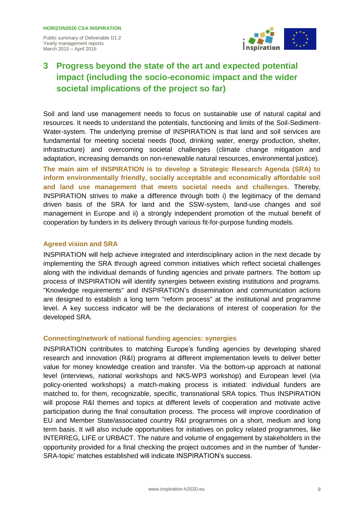

## **3 Progress beyond the state of the art and expected potential impact (including the socio-economic impact and the wider societal implications of the project so far)**

Soil and land use management needs to focus on sustainable use of natural capital and resources. It needs to understand the potentials, functioning and limits of the Soil-Sediment-Water-system. The underlying premise of INSPIRATION is that land and soil services are fundamental for meeting societal needs (food, drinking water, energy production, shelter, infrastructure) and overcoming societal challenges (climate change mitigation and adaptation, increasing demands on non-renewable natural resources, environmental justice).

**The main aim of INSPIRATION is to develop a Strategic Research Agenda (SRA) to inform environmentally friendly, socially acceptable and economically affordable soil and land use management that meets societal needs and challenges.** Thereby, INSPIRATION strives to make a difference through both i) the legitimacy of the demand driven basis of the SRA for land and the SSW-system, land-use changes and soil management in Europe and ii) a strongly independent promotion of the mutual benefit of cooperation by funders in its delivery through various fit-for-purpose funding models.

#### **Agreed vision and SRA**

INSPIRATION will help achieve integrated and interdisciplinary action in the next decade by implementing the SRA through agreed common initiatives which reflect societal challenges along with the individual demands of funding agencies and private partners. The bottom up process of INSPIRATION will identify synergies between existing institutions and programs. "Knowledge requirements" and INSPIRATION's dissemination and communication actions are designed to establish a long term "reform process" at the institutional and programme level. A key success indicator will be the declarations of interest of cooperation for the developed SRA.

#### **Connecting/network of national funding agencies: synergies**

INSPIRATION contributes to matching Europe's funding agencies by developing shared research and innovation (R&I) programs at different implementation levels to deliver better value for money knowledge creation and transfer. Via the bottom-up approach at national level (interviews, national workshops and NKS-WP3 workshop) and European level (via policy-oriented workshops) a match-making process is initiated: individual funders are matched to, for them, recognizable, specific, transnational SRA topics. Thus INSPIRATION will propose R&I themes and topics at different levels of cooperation and motivate active participation during the final consultation process. The process will improve coordination of EU and Member State/associated country R&I programmes on a short, medium and long term basis. It will also include opportunities for initiatives on policy related programmes, like INTERREG, LIFE or URBACT. The nature and volume of engagement by stakeholders in the opportunity provided for a final checking the project outcomes and in the number of 'funder-SRA-topic' matches established will indicate INSPIRATION's success.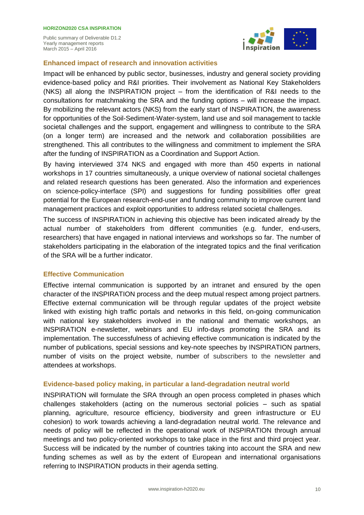

#### **Enhanced impact of research and innovation activities**

Impact will be enhanced by public sector, businesses, industry and general society providing evidence-based policy and R&I priorities. Their involvement as National Key Stakeholders (NKS) all along the INSPIRATION project – from the identification of R&I needs to the consultations for matchmaking the SRA and the funding options – will increase the impact. By mobilizing the relevant actors (NKS) from the early start of INSPIRATION, the awareness for opportunities of the Soil-Sediment-Water-system, land use and soil management to tackle societal challenges and the support, engagement and willingness to contribute to the SRA (on a longer term) are increased and the network and collaboration possibilities are strengthened. This all contributes to the willingness and commitment to implement the SRA after the funding of INSPIRATION as a Coordination and Support Action.

By having interviewed 374 NKS and engaged with more than 450 experts in national workshops in 17 countries simultaneously, a unique overview of national societal challenges and related research questions has been generated. Also the information and experiences on science-policy-interface (SPI) and suggestions for funding possibilities offer great potential for the European research-end-user and funding community to improve current land management practices and exploit opportunities to address related societal challenges.

The success of INSPIRATION in achieving this objective has been indicated already by the actual number of stakeholders from different communities (e.g. funder, end-users, researchers) that have engaged in national interviews and workshops so far. The number of stakeholders participating in the elaboration of the integrated topics and the final verification of the SRA will be a further indicator.

#### **Effective Communication**

Effective internal communication is supported by an intranet and ensured by the open character of the INSPIRATION process and the deep mutual respect among project partners. Effective external communication will be through regular updates of the project website linked with existing high traffic portals and networks in this field, on-going communication with national key stakeholders involved in the national and thematic workshops, an INSPIRATION e-newsletter, webinars and EU info-days promoting the SRA and its implementation. The successfulness of achieving effective communication is indicated by the number of publications, special sessions and key-note speeches by INSPIRATION partners, number of visits on the project website, number of subscribers to the newsletter and attendees at workshops.

#### **Evidence-based policy making, in particular a land-degradation neutral world**

INSPIRATION will formulate the SRA through an open process completed in phases which challenges stakeholders (acting on the numerous sectorial policies – such as spatial planning, agriculture, resource efficiency, biodiversity and green infrastructure or EU cohesion) to work towards achieving a land-degradation neutral world. The relevance and needs of policy will be reflected in the operational work of INSPIRATION through annual meetings and two policy-oriented workshops to take place in the first and third project year. Success will be indicated by the number of countries taking into account the SRA and new funding schemes as well as by the extent of European and international organisations referring to INSPIRATION products in their agenda setting.